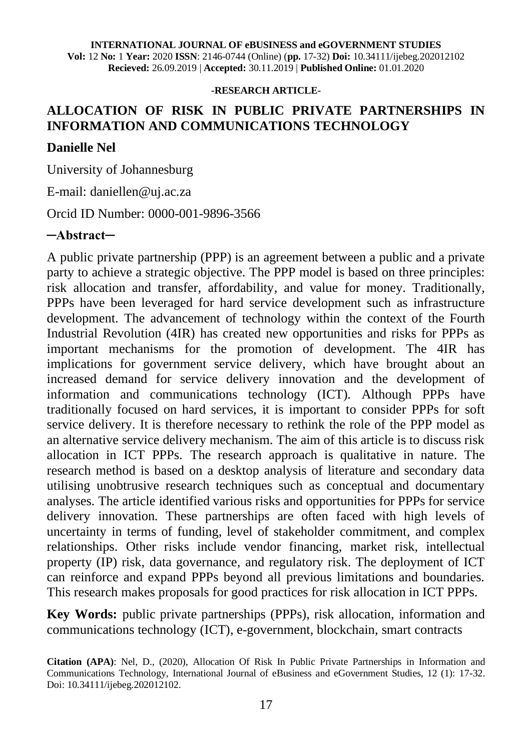#### **-RESEARCH ARTICLE-**

## **ALLOCATION OF RISK IN PUBLIC PRIVATE PARTNERSHIPS IN INFORMATION AND COMMUNICATIONS TECHNOLOGY**

#### **Danielle Nel**

University of Johannesburg

E-mail: daniellen@uj.ac.za

Orcid ID Number: 0000-001-9896-3566

#### **─Abstract─**

A public private partnership (PPP) is an agreement between a public and a private party to achieve a strategic objective. The PPP model is based on three principles: risk allocation and transfer, affordability, and value for money. Traditionally, PPPs have been leveraged for hard service development such as infrastructure development. The advancement of technology within the context of the Fourth Industrial Revolution (4IR) has created new opportunities and risks for PPPs as important mechanisms for the promotion of development. The 4IR has implications for government service delivery, which have brought about an increased demand for service delivery innovation and the development of information and communications technology (ICT). Although PPPs have traditionally focused on hard services, it is important to consider PPPs for soft service delivery. It is therefore necessary to rethink the role of the PPP model as an alternative service delivery mechanism. The aim of this article is to discuss risk allocation in ICT PPPs. The research approach is qualitative in nature. The research method is based on a desktop analysis of literature and secondary data utilising unobtrusive research techniques such as conceptual and documentary analyses. The article identified various risks and opportunities for PPPs for service delivery innovation. These partnerships are often faced with high levels of uncertainty in terms of funding, level of stakeholder commitment, and complex relationships. Other risks include vendor financing, market risk, intellectual property (IP) risk, data governance, and regulatory risk. The deployment of ICT can reinforce and expand PPPs beyond all previous limitations and boundaries. This research makes proposals for good practices for risk allocation in ICT PPPs.

**Key Words:** public private partnerships (PPPs), risk allocation, information and communications technology (ICT), e-government, blockchain, smart contracts

**Citation (APA)**: Nel, D., (2020), Allocation Of Risk In Public Private Partnerships in Information and Communications Technology, International Journal of eBusiness and eGovernment Studies, 12 (1): 17-32. Doi: 10.34111/ijebeg.202012102.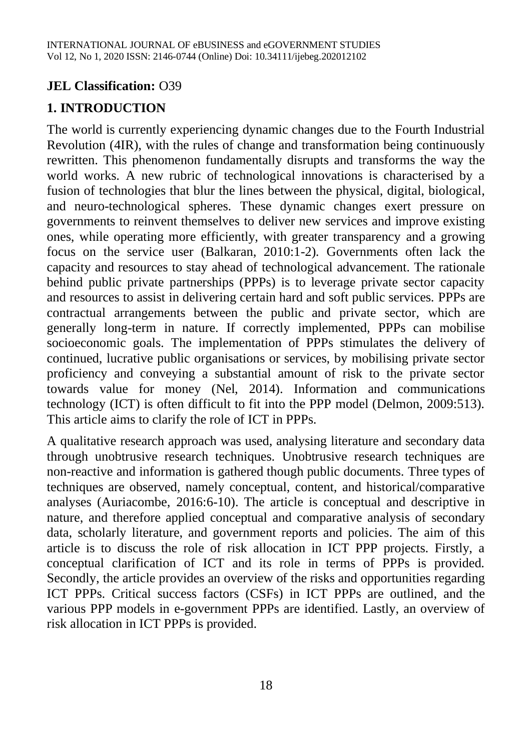#### **JEL Classification:** O39

#### **1. INTRODUCTION**

The world is currently experiencing dynamic changes due to the Fourth Industrial Revolution (4IR), with the rules of change and transformation being continuously rewritten. This phenomenon fundamentally disrupts and transforms the way the world works. A new rubric of technological innovations is characterised by a fusion of technologies that blur the lines between the physical, digital, biological, and neuro-technological spheres. These dynamic changes exert pressure on governments to reinvent themselves to deliver new services and improve existing ones, while operating more efficiently, with greater transparency and a growing focus on the service user (Balkaran, 2010:1-2). Governments often lack the capacity and resources to stay ahead of technological advancement. The rationale behind public private partnerships (PPPs) is to leverage private sector capacity and resources to assist in delivering certain hard and soft public services. PPPs are contractual arrangements between the public and private sector, which are generally long-term in nature. If correctly implemented, PPPs can mobilise socioeconomic goals. The implementation of PPPs stimulates the delivery of continued, lucrative public organisations or services, by mobilising private sector proficiency and conveying a substantial amount of risk to the private sector towards value for money (Nel, 2014). Information and communications technology (ICT) is often difficult to fit into the PPP model (Delmon, 2009:513). This article aims to clarify the role of ICT in PPPs.

A qualitative research approach was used, analysing literature and secondary data through unobtrusive research techniques. Unobtrusive research techniques are non-reactive and information is gathered though public documents. Three types of techniques are observed, namely conceptual, content, and historical/comparative analyses (Auriacombe, 2016:6-10). The article is conceptual and descriptive in nature, and therefore applied conceptual and comparative analysis of secondary data, scholarly literature, and government reports and policies. The aim of this article is to discuss the role of risk allocation in ICT PPP projects. Firstly, a conceptual clarification of ICT and its role in terms of PPPs is provided. Secondly, the article provides an overview of the risks and opportunities regarding ICT PPPs. Critical success factors (CSFs) in ICT PPPs are outlined, and the various PPP models in e-government PPPs are identified. Lastly, an overview of risk allocation in ICT PPPs is provided.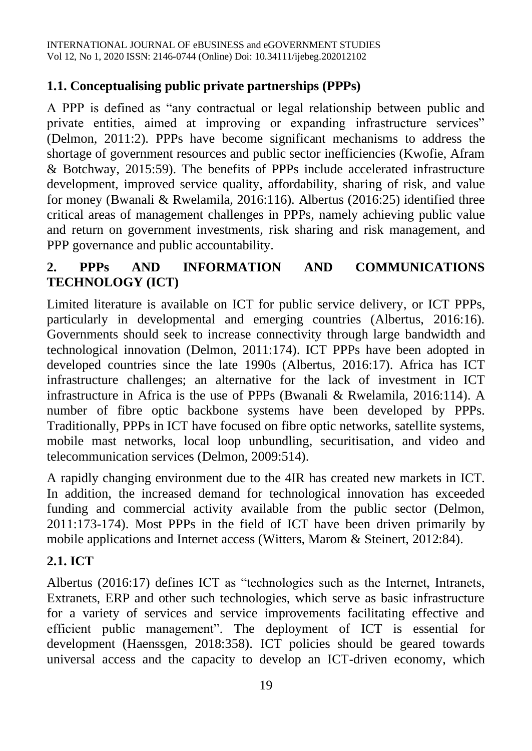#### **1.1. Conceptualising public private partnerships (PPPs)**

A PPP is defined as "any contractual or legal relationship between public and private entities, aimed at improving or expanding infrastructure services" (Delmon, 2011:2). PPPs have become significant mechanisms to address the shortage of government resources and public sector inefficiencies (Kwofie, Afram & Botchway, 2015:59). The benefits of PPPs include accelerated infrastructure development, improved service quality, affordability, sharing of risk, and value for money (Bwanali & Rwelamila, 2016:116). Albertus (2016:25) identified three critical areas of management challenges in PPPs, namely achieving public value and return on government investments, risk sharing and risk management, and PPP governance and public accountability.

# **2. PPPs AND INFORMATION AND COMMUNICATIONS TECHNOLOGY (ICT)**

Limited literature is available on ICT for public service delivery, or ICT PPPs, particularly in developmental and emerging countries (Albertus, 2016:16). Governments should seek to increase connectivity through large bandwidth and technological innovation (Delmon, 2011:174). ICT PPPs have been adopted in developed countries since the late 1990s (Albertus, 2016:17). Africa has ICT infrastructure challenges; an alternative for the lack of investment in ICT infrastructure in Africa is the use of PPPs (Bwanali & Rwelamila, 2016:114). A number of fibre optic backbone systems have been developed by PPPs. Traditionally, PPPs in ICT have focused on fibre optic networks, satellite systems, mobile mast networks, local loop unbundling, securitisation, and video and telecommunication services (Delmon, 2009:514).

A rapidly changing environment due to the 4IR has created new markets in ICT. In addition, the increased demand for technological innovation has exceeded funding and commercial activity available from the public sector (Delmon, 2011:173-174). Most PPPs in the field of ICT have been driven primarily by mobile applications and Internet access (Witters, Marom & Steinert, 2012:84).

## **2.1. ICT**

Albertus (2016:17) defines ICT as "technologies such as the Internet, Intranets, Extranets, ERP and other such technologies, which serve as basic infrastructure for a variety of services and service improvements facilitating effective and efficient public management". The deployment of ICT is essential for development (Haenssgen, 2018:358). ICT policies should be geared towards universal access and the capacity to develop an ICT-driven economy, which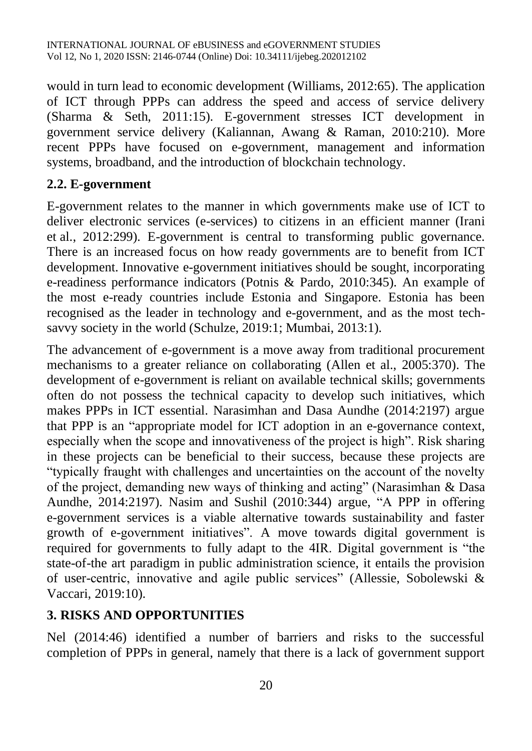would in turn lead to economic development (Williams, 2012:65). The application of ICT through PPPs can address the speed and access of service delivery (Sharma & Seth, 2011:15). E-government stresses ICT development in government service delivery (Kaliannan, Awang & Raman, 2010:210). More recent PPPs have focused on e-government, management and information systems, broadband, and the introduction of blockchain technology.

#### **2.2. E-government**

E-government relates to the manner in which governments make use of ICT to deliver electronic services (e-services) to citizens in an efficient manner (Irani et al., 2012:299). E-government is central to transforming public governance. There is an increased focus on how ready governments are to benefit from ICT development. Innovative e-government initiatives should be sought, incorporating e-readiness performance indicators (Potnis & Pardo, 2010:345). An example of the most e-ready countries include Estonia and Singapore. Estonia has been recognised as the leader in technology and e-government, and as the most techsavvy society in the world (Schulze, 2019:1; Mumbai, 2013:1).

The advancement of e-government is a move away from traditional procurement mechanisms to a greater reliance on collaborating (Allen et al., 2005:370). The development of e-government is reliant on available technical skills; governments often do not possess the technical capacity to develop such initiatives, which makes PPPs in ICT essential. Narasimhan and Dasa Aundhe (2014:2197) argue that PPP is an "appropriate model for ICT adoption in an e-governance context, especially when the scope and innovativeness of the project is high". Risk sharing in these projects can be beneficial to their success, because these projects are "typically fraught with challenges and uncertainties on the account of the novelty of the project, demanding new ways of thinking and acting" (Narasimhan & Dasa Aundhe, 2014:2197). Nasim and Sushil (2010:344) argue, "A PPP in offering e-government services is a viable alternative towards sustainability and faster growth of e-government initiatives". A move towards digital government is required for governments to fully adapt to the 4IR. Digital government is "the state-of-the art paradigm in public administration science, it entails the provision of user-centric, innovative and agile public services" (Allessie, Sobolewski & Vaccari, 2019:10).

## **3. RISKS AND OPPORTUNITIES**

Nel (2014:46) identified a number of barriers and risks to the successful completion of PPPs in general, namely that there is a lack of government support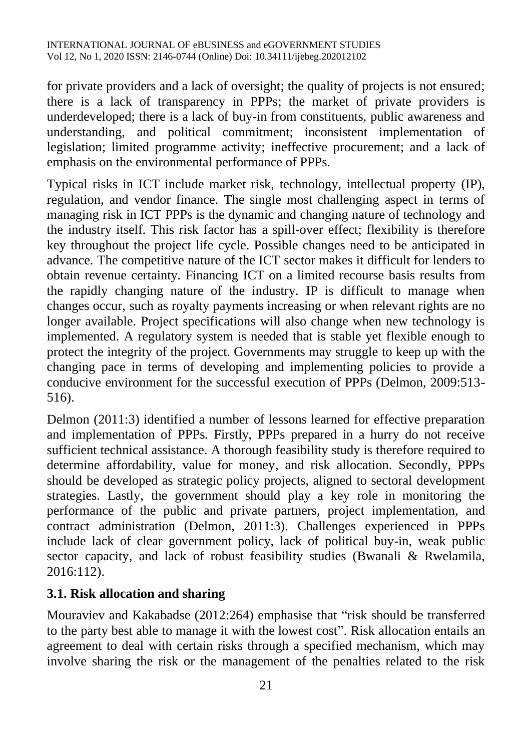for private providers and a lack of oversight; the quality of projects is not ensured; there is a lack of transparency in PPPs; the market of private providers is underdeveloped; there is a lack of buy-in from constituents, public awareness and understanding, and political commitment; inconsistent implementation of legislation; limited programme activity; ineffective procurement; and a lack of emphasis on the environmental performance of PPPs.

Typical risks in ICT include market risk, technology, intellectual property (IP), regulation, and vendor finance. The single most challenging aspect in terms of managing risk in ICT PPPs is the dynamic and changing nature of technology and the industry itself. This risk factor has a spill-over effect; flexibility is therefore key throughout the project life cycle. Possible changes need to be anticipated in advance. The competitive nature of the ICT sector makes it difficult for lenders to obtain revenue certainty. Financing ICT on a limited recourse basis results from the rapidly changing nature of the industry. IP is difficult to manage when changes occur, such as royalty payments increasing or when relevant rights are no longer available. Project specifications will also change when new technology is implemented. A regulatory system is needed that is stable yet flexible enough to protect the integrity of the project. Governments may struggle to keep up with the changing pace in terms of developing and implementing policies to provide a conducive environment for the successful execution of PPPs (Delmon, 2009:513- 516).

Delmon (2011:3) identified a number of lessons learned for effective preparation and implementation of PPPs. Firstly, PPPs prepared in a hurry do not receive sufficient technical assistance. A thorough feasibility study is therefore required to determine affordability, value for money, and risk allocation. Secondly, PPPs should be developed as strategic policy projects, aligned to sectoral development strategies. Lastly, the government should play a key role in monitoring the performance of the public and private partners, project implementation, and contract administration (Delmon, 2011:3). Challenges experienced in PPPs include lack of clear government policy, lack of political buy-in, weak public sector capacity, and lack of robust feasibility studies (Bwanali & Rwelamila, 2016:112).

## **3.1. Risk allocation and sharing**

Mouraviev and Kakabadse (2012:264) emphasise that "risk should be transferred to the party best able to manage it with the lowest cost". Risk allocation entails an agreement to deal with certain risks through a specified mechanism, which may involve sharing the risk or the management of the penalties related to the risk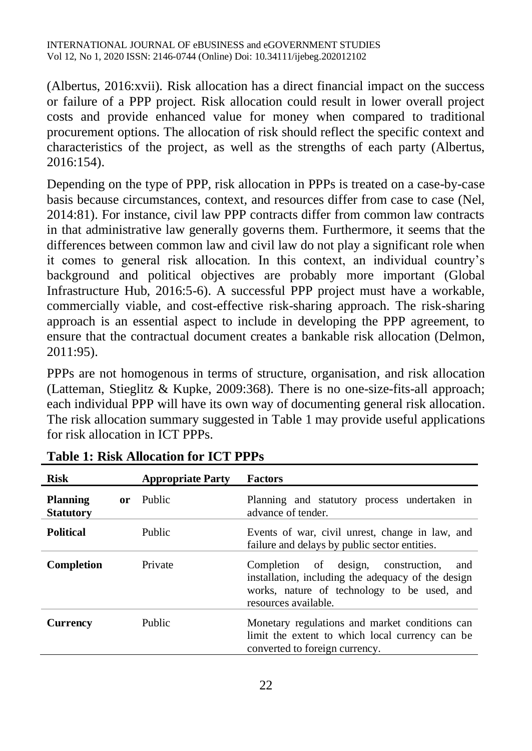(Albertus, 2016:xvii). Risk allocation has a direct financial impact on the success or failure of a PPP project. Risk allocation could result in lower overall project costs and provide enhanced value for money when compared to traditional procurement options. The allocation of risk should reflect the specific context and characteristics of the project, as well as the strengths of each party (Albertus, 2016:154).

Depending on the type of PPP, risk allocation in PPPs is treated on a case-by-case basis because circumstances, context, and resources differ from case to case (Nel, 2014:81). For instance, civil law PPP contracts differ from common law contracts in that administrative law generally governs them. Furthermore, it seems that the differences between common law and civil law do not play a significant role when it comes to general risk allocation. In this context, an individual country's background and political objectives are probably more important (Global Infrastructure Hub, 2016:5-6). A successful PPP project must have a workable, commercially viable, and cost-effective risk-sharing approach. The risk-sharing approach is an essential aspect to include in developing the PPP agreement, to ensure that the contractual document creates a bankable risk allocation (Delmon, 2011:95).

PPPs are not homogenous in terms of structure, organisation, and risk allocation (Latteman, Stieglitz & Kupke, 2009:368). There is no one-size-fits-all approach; each individual PPP will have its own way of documenting general risk allocation. The risk allocation summary suggested in Table 1 may provide useful applications for risk allocation in ICT PPPs.

| <b>Risk</b>                         |    | <b>Appropriate Party</b> | <b>Factors</b>                                                                                                                                                          |
|-------------------------------------|----|--------------------------|-------------------------------------------------------------------------------------------------------------------------------------------------------------------------|
| <b>Planning</b><br><b>Statutory</b> | or | Public                   | Planning and statutory process undertaken in<br>advance of tender.                                                                                                      |
| <b>Political</b>                    |    | Public                   | Events of war, civil unrest, change in law, and<br>failure and delays by public sector entities.                                                                        |
| Completion                          |    | Private                  | Completion of design, construction,<br>and<br>installation, including the adequacy of the design<br>works, nature of technology to be used, and<br>resources available. |
| <b>Currency</b>                     |    | Public                   | Monetary regulations and market conditions can<br>limit the extent to which local currency can be<br>converted to foreign currency.                                     |

**Table 1: Risk Allocation for ICT PPPs**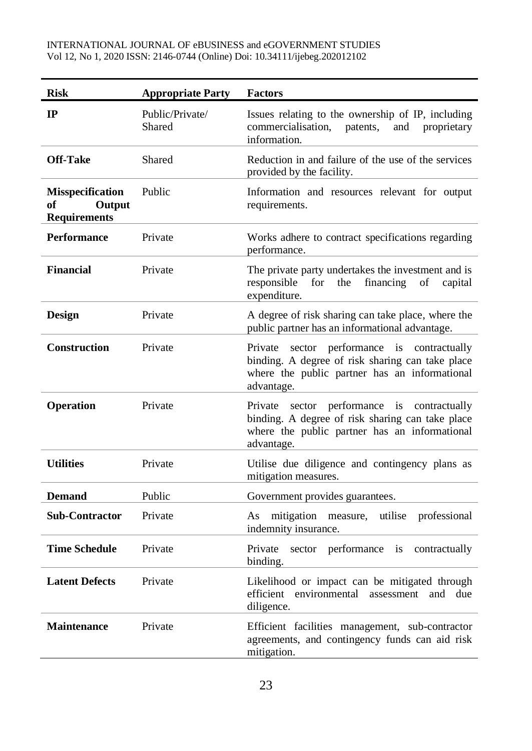| <b>Risk</b>                                                    | <b>Appropriate Party</b>  | <b>Factors</b>                                                                                                                                                 |  |
|----------------------------------------------------------------|---------------------------|----------------------------------------------------------------------------------------------------------------------------------------------------------------|--|
| IP                                                             | Public/Private/<br>Shared | Issues relating to the ownership of IP, including<br>commercialisation,<br>patents, and proprietary<br>information.                                            |  |
| <b>Off-Take</b>                                                | Shared                    | Reduction in and failure of the use of the services<br>provided by the facility.                                                                               |  |
| <b>Misspecification</b><br>Output<br>оf<br><b>Requirements</b> | Public                    | Information and resources relevant for output<br>requirements.                                                                                                 |  |
| Performance                                                    | Private                   | Works adhere to contract specifications regarding<br>performance.                                                                                              |  |
| <b>Financial</b>                                               | Private                   | The private party undertakes the investment and is<br>for the<br>responsible<br>financing<br>of<br>capital<br>expenditure.                                     |  |
| <b>Design</b>                                                  | Private                   | A degree of risk sharing can take place, where the<br>public partner has an informational advantage.                                                           |  |
| <b>Construction</b>                                            | Private                   | Private sector performance is contractually<br>binding. A degree of risk sharing can take place<br>where the public partner has an informational<br>advantage. |  |
| <b>Operation</b>                                               | Private                   | Private sector performance is contractually<br>binding. A degree of risk sharing can take place<br>where the public partner has an informational<br>advantage. |  |
| <b>Utilities</b>                                               | Private                   | Utilise due diligence and contingency plans as<br>mitigation measures.                                                                                         |  |
| <b>Demand</b>                                                  | Public                    | Government provides guarantees.                                                                                                                                |  |
| <b>Sub-Contractor</b>                                          | Private                   | As mitigation measure, utilise professional<br>indemnity insurance.                                                                                            |  |
| <b>Time Schedule</b>                                           | Private                   | Private<br>sector performance is<br>contractually<br>binding.                                                                                                  |  |
| <b>Latent Defects</b>                                          | Private                   | Likelihood or impact can be mitigated through<br>efficient environmental assessment<br>and<br>due<br>diligence.                                                |  |
| <b>Maintenance</b>                                             | Private                   | Efficient facilities management, sub-contractor<br>agreements, and contingency funds can aid risk<br>mitigation.                                               |  |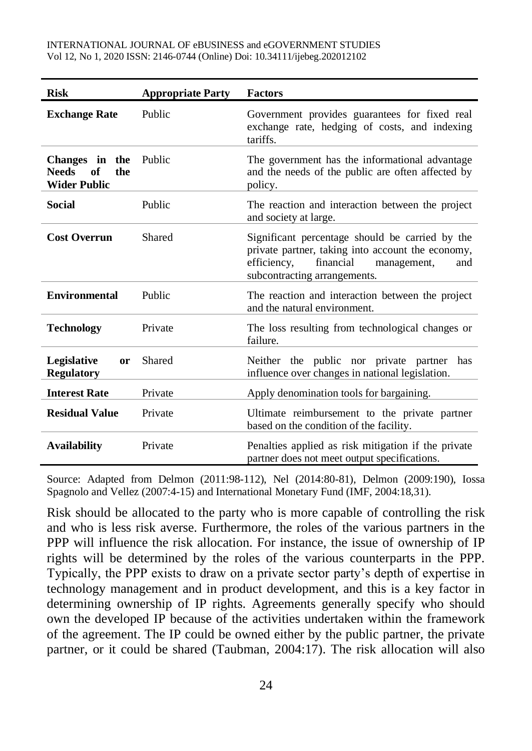| <b>Risk</b>                                                        | <b>Appropriate Party</b> | <b>Factors</b>                                                                                                                                                                         |
|--------------------------------------------------------------------|--------------------------|----------------------------------------------------------------------------------------------------------------------------------------------------------------------------------------|
| <b>Exchange Rate</b>                                               | Public                   | Government provides guarantees for fixed real<br>exchange rate, hedging of costs, and indexing<br>tariffs.                                                                             |
| Changes in the<br><b>Needs</b><br>of<br>the<br><b>Wider Public</b> | Public                   | The government has the informational advantage<br>and the needs of the public are often affected by<br>policy.                                                                         |
| Social                                                             | Public                   | The reaction and interaction between the project<br>and society at large.                                                                                                              |
| <b>Cost Overrun</b>                                                | Shared                   | Significant percentage should be carried by the<br>private partner, taking into account the economy,<br>efficiency,<br>financial<br>management,<br>and<br>subcontracting arrangements. |
| <b>Environmental</b>                                               | Public                   | The reaction and interaction between the project<br>and the natural environment.                                                                                                       |
| <b>Technology</b>                                                  | Private                  | The loss resulting from technological changes or<br>failure.                                                                                                                           |
| Legislative<br>or<br><b>Regulatory</b>                             | Shared                   | Neither the public nor private partner has<br>influence over changes in national legislation.                                                                                          |
| <b>Interest Rate</b>                                               | Private                  | Apply denomination tools for bargaining.                                                                                                                                               |
| <b>Residual Value</b>                                              | Private                  | Ultimate reimbursement to the private partner<br>based on the condition of the facility.                                                                                               |
| <b>Availability</b>                                                | Private                  | Penalties applied as risk mitigation if the private<br>partner does not meet output specifications.                                                                                    |

Source: Adapted from Delmon (2011:98-112), Nel (2014:80-81), Delmon (2009:190), Iossa Spagnolo and Vellez (2007:4-15) and International Monetary Fund (IMF, 2004:18,31).

Risk should be allocated to the party who is more capable of controlling the risk and who is less risk averse. Furthermore, the roles of the various partners in the PPP will influence the risk allocation. For instance, the issue of ownership of IP rights will be determined by the roles of the various counterparts in the PPP. Typically, the PPP exists to draw on a private sector party's depth of expertise in technology management and in product development, and this is a key factor in determining ownership of IP rights. Agreements generally specify who should own the developed IP because of the activities undertaken within the framework of the agreement. The IP could be owned either by the public partner, the private partner, or it could be shared (Taubman, 2004:17). The risk allocation will also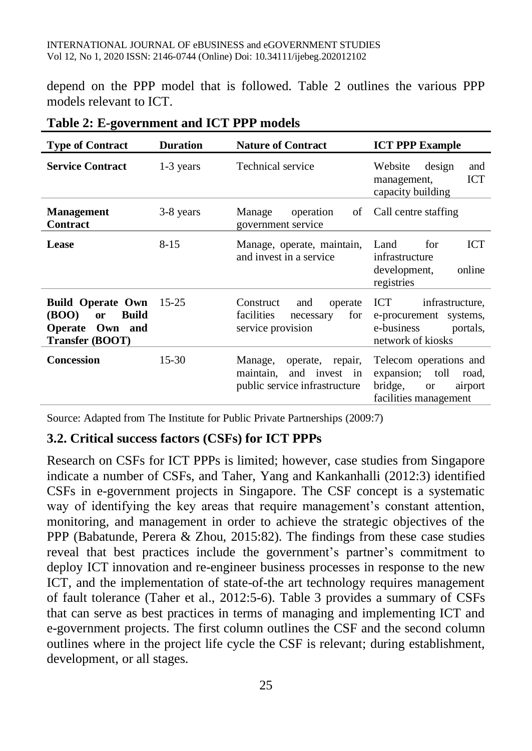depend on the PPP model that is followed. Table 2 outlines the various PPP models relevant to ICT.

| <b>Type of Contract</b>                                                                                                 | <b>Duration</b> | <b>Nature of Contract</b>                                                                  | <b>ICT PPP Example</b>                                                                                         |
|-------------------------------------------------------------------------------------------------------------------------|-----------------|--------------------------------------------------------------------------------------------|----------------------------------------------------------------------------------------------------------------|
| <b>Service Contract</b>                                                                                                 | 1-3 years       | <b>Technical service</b>                                                                   | design<br>Website<br>and<br>ICT<br>management,<br>capacity building                                            |
| <b>Management</b><br><b>Contract</b>                                                                                    | 3-8 years       | Manage<br>operation<br>of<br>government service                                            | Call centre staffing                                                                                           |
| <b>Lease</b>                                                                                                            | $8 - 15$        | Manage, operate, maintain,<br>and invest in a service                                      | <b>ICT</b><br>Land<br>for<br>infrastructure<br>online<br>development,<br>registries                            |
| <b>Build Operate Own</b><br>( <b>BOO</b> )<br><b>Build</b><br><b>or</b><br>Own and<br><b>Operate</b><br>Transfer (BOOT) | $15 - 25$       | Construct<br>and<br>operate<br>facilities<br>for<br>necessary<br>service provision         | infrastructure.<br><b>ICT</b><br>e-procurement systems,<br>e-business<br>portals,<br>network of kiosks         |
| <b>Concession</b>                                                                                                       | $15-30$         | Manage,<br>operate, repair,<br>and invest in<br>maintain,<br>public service infrastructure | Telecom operations and<br>expansion; toll<br>road,<br>bridge,<br>airport<br><b>or</b><br>facilities management |

**Table 2: E-government and ICT PPP models**

Source: Adapted from The Institute for Public Private Partnerships (2009:7)

#### **3.2. Critical success factors (CSFs) for ICT PPPs**

Research on CSFs for ICT PPPs is limited; however, case studies from Singapore indicate a number of CSFs, and Taher, Yang and Kankanhalli (2012:3) identified CSFs in e-government projects in Singapore. The CSF concept is a systematic way of identifying the key areas that require management's constant attention, monitoring, and management in order to achieve the strategic objectives of the PPP (Babatunde, Perera & Zhou, 2015:82). The findings from these case studies reveal that best practices include the government's partner's commitment to deploy ICT innovation and re-engineer business processes in response to the new ICT, and the implementation of state-of-the art technology requires management of fault tolerance (Taher et al., 2012:5-6). Table 3 provides a summary of CSFs that can serve as best practices in terms of managing and implementing ICT and e-government projects. The first column outlines the CSF and the second column outlines where in the project life cycle the CSF is relevant; during establishment, development, or all stages.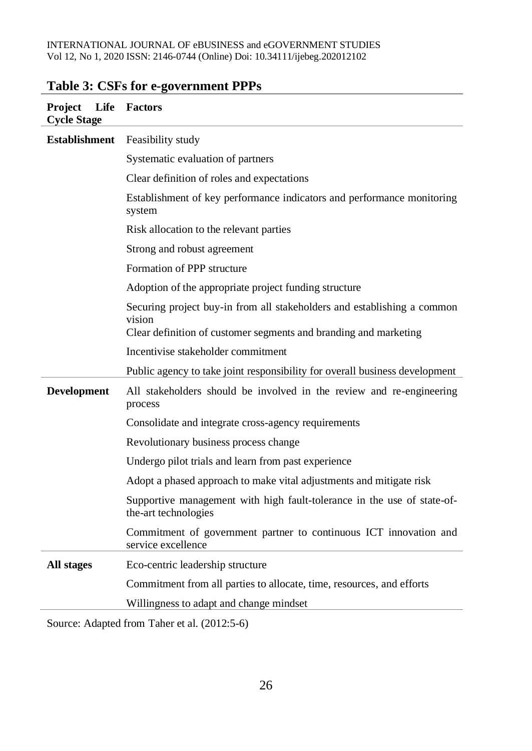#### INTERNATIONAL JOURNAL OF eBUSINESS and eGOVERNMENT STUDIES Vol 12, No 1, 2020 ISSN: 2146-0744 (Online) Doi: 10.34111/ijebeg.202012102

| Life<br><b>Project</b><br><b>Cycle Stage</b> | Factors                                                                                         |  |  |
|----------------------------------------------|-------------------------------------------------------------------------------------------------|--|--|
| <b>Establishment</b>                         | Feasibility study                                                                               |  |  |
|                                              | Systematic evaluation of partners                                                               |  |  |
|                                              | Clear definition of roles and expectations                                                      |  |  |
|                                              | Establishment of key performance indicators and performance monitoring<br>system                |  |  |
|                                              | Risk allocation to the relevant parties                                                         |  |  |
|                                              | Strong and robust agreement                                                                     |  |  |
|                                              | Formation of PPP structure                                                                      |  |  |
|                                              | Adoption of the appropriate project funding structure                                           |  |  |
|                                              | Securing project buy-in from all stakeholders and establishing a common<br>vision               |  |  |
|                                              | Clear definition of customer segments and branding and marketing                                |  |  |
|                                              | Incentivise stakeholder commitment                                                              |  |  |
|                                              | Public agency to take joint responsibility for overall business development                     |  |  |
| <b>Development</b>                           | All stakeholders should be involved in the review and re-engineering<br>process                 |  |  |
|                                              | Consolidate and integrate cross-agency requirements                                             |  |  |
|                                              | Revolutionary business process change                                                           |  |  |
|                                              | Undergo pilot trials and learn from past experience                                             |  |  |
|                                              | Adopt a phased approach to make vital adjustments and mitigate risk                             |  |  |
|                                              | Supportive management with high fault-tolerance in the use of state-of-<br>the-art technologies |  |  |
|                                              | Commitment of government partner to continuous ICT innovation and<br>service excellence         |  |  |
| All stages                                   | Eco-centric leadership structure                                                                |  |  |
|                                              | Commitment from all parties to allocate, time, resources, and efforts                           |  |  |
|                                              | Willingness to adapt and change mindset                                                         |  |  |

# **Table 3: CSFs for e-government PPPs**

Source: Adapted from Taher et al. (2012:5-6)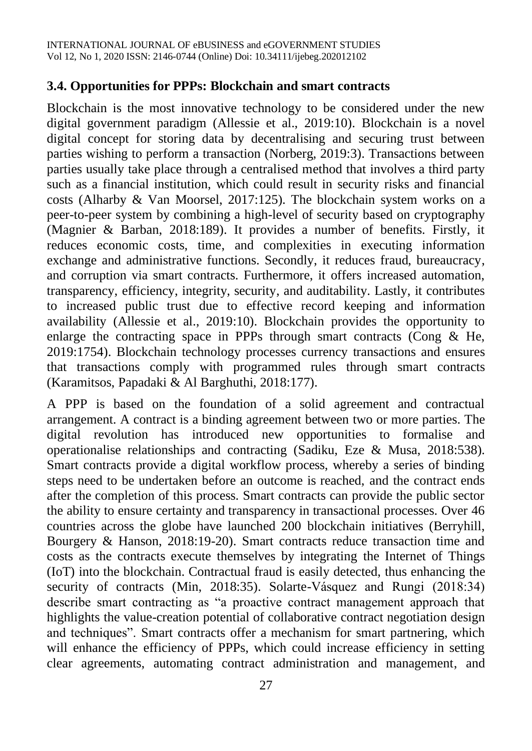#### **3.4. Opportunities for PPPs: Blockchain and smart contracts**

Blockchain is the most innovative technology to be considered under the new digital government paradigm (Allessie et al., 2019:10). Blockchain is a novel digital concept for storing data by decentralising and securing trust between parties wishing to perform a transaction (Norberg, 2019:3). Transactions between parties usually take place through a centralised method that involves a third party such as a financial institution, which could result in security risks and financial costs (Alharby & Van Moorsel, 2017:125). The blockchain system works on a peer-to-peer system by combining a high-level of security based on cryptography (Magnier & Barban, 2018:189). It provides a number of benefits. Firstly, it reduces economic costs, time, and complexities in executing information exchange and administrative functions. Secondly, it reduces fraud, bureaucracy, and corruption via smart contracts. Furthermore, it offers increased automation, transparency, efficiency, integrity, security, and auditability. Lastly, it contributes to increased public trust due to effective record keeping and information availability (Allessie et al., 2019:10). Blockchain provides the opportunity to enlarge the contracting space in PPPs through smart contracts (Cong & He, 2019:1754). Blockchain technology processes currency transactions and ensures that transactions comply with programmed rules through smart contracts (Karamitsos, Papadaki & Al Barghuthi, 2018:177).

A PPP is based on the foundation of a solid agreement and contractual arrangement. A contract is a binding agreement between two or more parties. The digital revolution has introduced new opportunities to formalise and operationalise relationships and contracting (Sadiku, Eze & Musa, 2018:538). Smart contracts provide a digital workflow process, whereby a series of binding steps need to be undertaken before an outcome is reached, and the contract ends after the completion of this process. Smart contracts can provide the public sector the ability to ensure certainty and transparency in transactional processes. Over 46 countries across the globe have launched 200 blockchain initiatives (Berryhill, Bourgery & Hanson, 2018:19-20). Smart contracts reduce transaction time and costs as the contracts execute themselves by integrating the Internet of Things (IoT) into the blockchain. Contractual fraud is easily detected, thus enhancing the security of contracts (Min, 2018:35). Solarte-Vásquez and Rungi (2018:34) describe smart contracting as "a proactive contract management approach that highlights the value-creation potential of collaborative contract negotiation design and techniques". Smart contracts offer a mechanism for smart partnering, which will enhance the efficiency of PPPs, which could increase efficiency in setting clear agreements, automating contract administration and management, and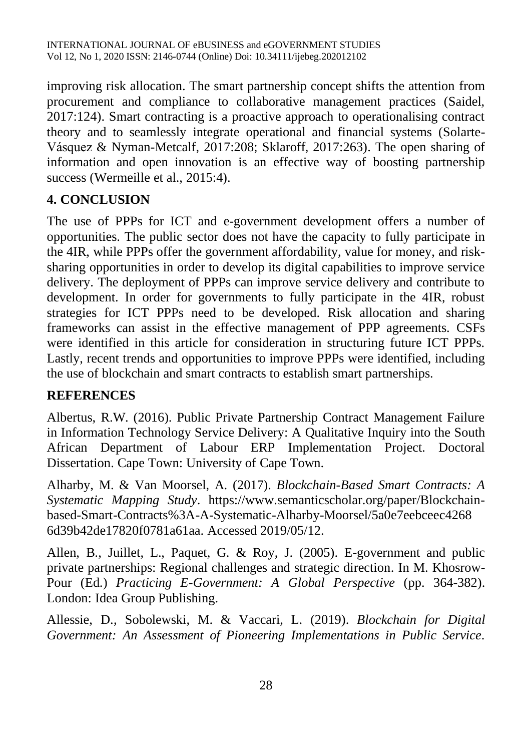improving risk allocation. The smart partnership concept shifts the attention from procurement and compliance to collaborative management practices (Saidel, 2017:124). Smart contracting is a proactive approach to operationalising contract theory and to seamlessly integrate operational and financial systems (Solarte-Vásquez & Nyman-Metcalf, 2017:208; Sklaroff, 2017:263). The open sharing of information and open innovation is an effective way of boosting partnership success (Wermeille et al., 2015:4).

## **4. CONCLUSION**

The use of PPPs for ICT and e-government development offers a number of opportunities. The public sector does not have the capacity to fully participate in the 4IR, while PPPs offer the government affordability, value for money, and risksharing opportunities in order to develop its digital capabilities to improve service delivery. The deployment of PPPs can improve service delivery and contribute to development. In order for governments to fully participate in the 4IR, robust strategies for ICT PPPs need to be developed. Risk allocation and sharing frameworks can assist in the effective management of PPP agreements. CSFs were identified in this article for consideration in structuring future ICT PPPs. Lastly, recent trends and opportunities to improve PPPs were identified, including the use of blockchain and smart contracts to establish smart partnerships.

#### **REFERENCES**

Albertus, R.W. (2016). Public Private Partnership Contract Management Failure in Information Technology Service Delivery: A Qualitative Inquiry into the South African Department of Labour ERP Implementation Project. Doctoral Dissertation. Cape Town: University of Cape Town.

Alharby, M. & Van Moorsel, A. (2017). *Blockchain-Based Smart Contracts: A Systematic Mapping Study*. [https://www.semanticscholar.org/paper/Blockchain](https://www.semanticscholar.org/paper/Blockchain-based-Smart-Contracts%3A-A-Systematic-Alharby-Moorsel/5a0e7eebceec4268%206d39b42de17820f0781a61aa)[based-Smart-Contracts%3A-A-Systematic-Alharby-Moorsel/5a0e7eebceec4268](https://www.semanticscholar.org/paper/Blockchain-based-Smart-Contracts%3A-A-Systematic-Alharby-Moorsel/5a0e7eebceec4268%206d39b42de17820f0781a61aa)  [6d39b42de17820f0781a61aa.](https://www.semanticscholar.org/paper/Blockchain-based-Smart-Contracts%3A-A-Systematic-Alharby-Moorsel/5a0e7eebceec4268%206d39b42de17820f0781a61aa) Accessed 2019/05/12.

Allen, B., Juillet, L., Paquet, G. & Roy, J. (2005). E-government and public private partnerships: Regional challenges and strategic direction. In M. Khosrow-Pour (Ed.) *Practicing E-Government: A Global Perspective* (pp. 364-382). London: Idea Group Publishing.

Allessie, D., Sobolewski, M. & Vaccari, L. (2019). *Blockchain for Digital Government: An Assessment of Pioneering Implementations in Public Service*.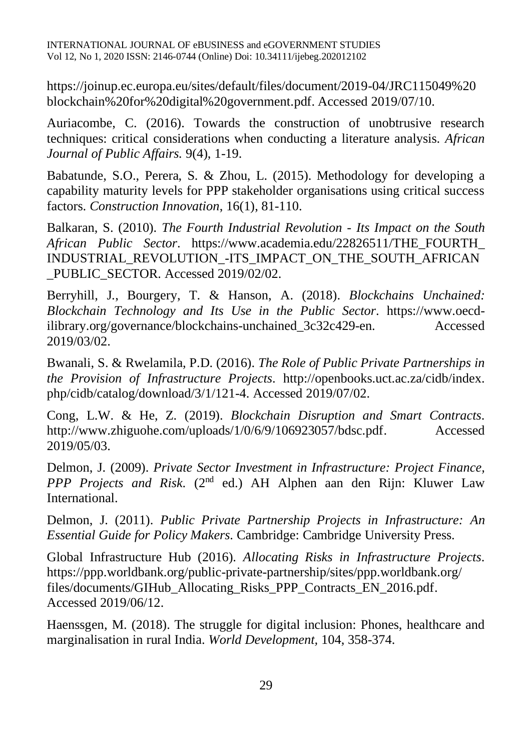[https://joinup.ec.europa.eu/sites/default/files/document/2019-04/JRC115049%20](https://joinup.ec.europa.eu/sites/default/files/document/2019-04/JRC115049%20%20blockchain%20for%20digital%20government.pdf)  [blockchain%20for%20digital%20government.pdf.](https://joinup.ec.europa.eu/sites/default/files/document/2019-04/JRC115049%20%20blockchain%20for%20digital%20government.pdf) Accessed 2019/07/10.

Auriacombe, C. (2016). Towards the construction of unobtrusive research techniques: critical considerations when conducting a literature analysis. *African Journal of Public Affairs.* 9(4), 1-19.

Babatunde, S.O., Perera, S. & Zhou, L. (2015). Methodology for developing a capability maturity levels for PPP stakeholder organisations using critical success factors. *Construction Innovation*, 16(1), 81-110.

Balkaran, S. (2010). *The Fourth Industrial Revolution - Its Impact on the South African Public Sector*. [https://www.academia.edu/22826511/THE\\_FOURTH\\_](https://www.academia.edu/22826511/THE_FOURTH_%20INDUSTRIAL_REVOLUTION_-ITS_IMPACT_ON_THE_SOUTH_AFRICAN%20_PUBLIC_SECTOR)  [INDUSTRIAL\\_REVOLUTION\\_-ITS\\_IMPACT\\_ON\\_THE\\_SOUTH\\_AFRICAN](https://www.academia.edu/22826511/THE_FOURTH_%20INDUSTRIAL_REVOLUTION_-ITS_IMPACT_ON_THE_SOUTH_AFRICAN%20_PUBLIC_SECTOR)  PUBLIC\_SECTOR. Accessed 2019/02/02.

Berryhill, J., Bourgery, T. & Hanson, A. (2018). *Blockchains Unchained: Blockchain Technology and Its Use in the Public Sector*. [https://www.oecd](https://www.oecd-ilibrary.org/governance/blockchains-unchained_3c32c429-en)[ilibrary.org/governance/blockchains-unchained\\_3c32c429-en.](https://www.oecd-ilibrary.org/governance/blockchains-unchained_3c32c429-en) Accessed 2019/03/02.

Bwanali, S. & Rwelamila, P.D. (2016). *The Role of Public Private Partnerships in the Provision of Infrastructure Projects*. [http://openbooks.uct.ac.za/cidb/index.](http://openbooks.uct.ac.za/cidb/index.%20php/cidb/catalog/download/3/1/121-4)  [php/cidb/catalog/download/3/1/121-4.](http://openbooks.uct.ac.za/cidb/index.%20php/cidb/catalog/download/3/1/121-4) Accessed 2019/07/02.

Cong, L.W. & He, Z. (2019). *Blockchain Disruption and Smart Contracts*. [http://www.zhiguohe.com/uploads/1/0/6/9/106923057/bdsc.pdf.](http://www.zhiguohe.com/uploads/1/0/6/9/106923057/bdsc.pdf) Accessed 2019/05/03.

Delmon, J. (2009). *Private Sector Investment in Infrastructure: Project Finance,*  PPP Projects and Risk. (2<sup>nd</sup> ed.) AH Alphen aan den Rijn: Kluwer Law International.

Delmon, J. (2011). *Public Private Partnership Projects in Infrastructure: An Essential Guide for Policy Makers*. Cambridge: Cambridge University Press.

Global Infrastructure Hub (2016). *Allocating Risks in Infrastructure Projects*. [https://ppp.worldbank.org/public-private-partnership/sites/ppp.worldbank.org/](https://ppp.worldbank.org/public-private-partnership/sites/ppp.worldbank.org/%20files/documents/GIHub_Allocating_Risks_PPP_Contracts_EN_2016.pdf)  [files/documents/GIHub\\_Allocating\\_Risks\\_PPP\\_Contracts\\_EN\\_2016.pdf.](https://ppp.worldbank.org/public-private-partnership/sites/ppp.worldbank.org/%20files/documents/GIHub_Allocating_Risks_PPP_Contracts_EN_2016.pdf) Accessed 2019/06/12.

Haenssgen, M. (2018). The struggle for digital inclusion: Phones, healthcare and marginalisation in rural India. *World Development,* 104, 358-374.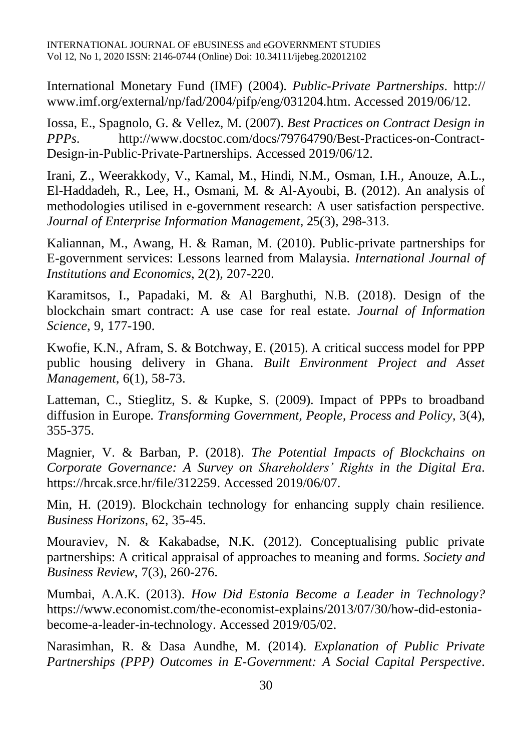International Monetary Fund (IMF) (2004). *Public-Private Partnerships*. [http://](http://www.imf.org/external/np/fad/2004/pifp/eng/031204.htm) [www.imf.org/external/np/fad/2004/pifp/eng/031204.htm.](http://www.imf.org/external/np/fad/2004/pifp/eng/031204.htm) Accessed 2019/06/12.

Iossa, E., Spagnolo, G. & Vellez, M. (2007). *Best Practices on Contract Design in PPPs*. [http://www.docstoc.com/docs/79764790/Best-Practices-on-Contract-](http://www.docstoc.com/docs/79764790/Best-Practices-on-Contract-Design-in-Public-Private-Partnerships)[Design-in-Public-Private-Partnerships.](http://www.docstoc.com/docs/79764790/Best-Practices-on-Contract-Design-in-Public-Private-Partnerships) Accessed 2019/06/12.

Irani, Z., Weerakkody, V., Kamal, M., Hindi, N.M., Osman, I.H., Anouze, A.L., El-Haddadeh, R., Lee, H., Osmani, M. & Al-Ayoubi, B. (2012). An analysis of methodologies utilised in e-government research: A user satisfaction perspective. *Journal of Enterprise Information Management*, 25(3), 298-313.

Kaliannan, M., Awang, H. & Raman, M. (2010). Public-private partnerships for E-government services: Lessons learned from Malaysia. *International Journal of Institutions and Economics*, 2(2), 207-220.

Karamitsos, I., Papadaki, M. & Al Barghuthi, N.B. (2018). Design of the blockchain smart contract: A use case for real estate. *Journal of Information Science*, 9, 177-190.

Kwofie, K.N., Afram, S. & Botchway, E. (2015). A critical success model for PPP public housing delivery in Ghana. *Built Environment Project and Asset Management*, 6(1), 58-73.

Latteman, C., Stieglitz, S. & Kupke, S. (2009). Impact of PPPs to broadband diffusion in Europe. *Transforming Government, People, Process and Policy,* 3(4), 355-375.

Magnier, V. & Barban, P. (2018). *The Potential Impacts of Blockchains on Corporate Governance: A Survey on Shareholders' Rights in the Digital Era*. [https://hrcak.srce.hr/file/312259.](https://hrcak.srce.hr/file/312259) Accessed 2019/06/07.

Min, H. (2019). Blockchain technology for enhancing supply chain resilience. *Business Horizons*, 62, 35-45.

Mouraviev, N. & Kakabadse, N.K. (2012). Conceptualising public private partnerships: A critical appraisal of approaches to meaning and forms. *Society and Business Review*, 7(3), 260-276.

Mumbai, A.A.K. (2013). *How Did Estonia Become a Leader in Technology?* [https://www.economist.com/the-economist-explains/2013/07/30/how-did-estonia](https://www.economist.com/the-economist-explains/2013/07/30/how-did-estonia-become-a-leader-in-technology)[become-a-leader-in-technology.](https://www.economist.com/the-economist-explains/2013/07/30/how-did-estonia-become-a-leader-in-technology) Accessed 2019/05/02.

Narasimhan, R. & Dasa Aundhe, M. (2014). *Explanation of Public Private Partnerships (PPP) Outcomes in E-Government: A Social Capital Perspective*.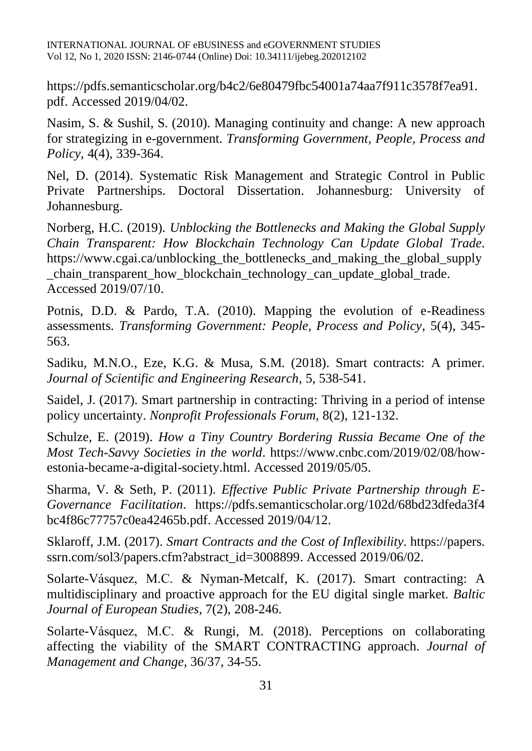[https://pdfs.semanticscholar.org/b4c2/6e80479fbc54001a74aa7f911c3578f7ea91.](https://pdfs.semanticscholar.org/b4c2/6e80479fbc54001a74aa7f911c3578f7ea91.pdf) [pdf.](https://pdfs.semanticscholar.org/b4c2/6e80479fbc54001a74aa7f911c3578f7ea91.pdf) Accessed 2019/04/02.

Nasim, S. & Sushil, S. (2010). Managing continuity and change: A new approach for strategizing in e-government. *Transforming Government, People, Process and Policy*, 4(4), 339-364.

Nel, D. (2014). Systematic Risk Management and Strategic Control in Public Private Partnerships. Doctoral Dissertation. Johannesburg: University of Johannesburg.

Norberg, H.C. (2019). *Unblocking the Bottlenecks and Making the Global Supply Chain Transparent: How Blockchain Technology Can Update Global Trade*. https://www.cgai.ca/unblocking the bottlenecks and making the global supply [\\_chain\\_transparent\\_how\\_blockchain\\_technology\\_can\\_update\\_global\\_trade.](https://www.cgai.ca/unblocking_the_bottlenecks_and_making_the_global_supply_chain_transparent_how_blockchain_technology_can_update_global_trade) Accessed 2019/07/10.

Potnis, D.D. & Pardo, T.A. (2010). Mapping the evolution of e-Readiness assessments. *Transforming Government: People, Process and Policy*, 5(4), 345- 563.

Sadiku, M.N.O., Eze, K.G. & Musa, S.M. (2018). Smart contracts: A primer. *Journal of Scientific and Engineering Research*, 5, 538-541.

Saidel, J. (2017). Smart partnership in contracting: Thriving in a period of intense policy uncertainty. *Nonprofit Professionals Forum*, 8(2), 121-132.

Schulze, E. (2019). *How a Tiny Country Bordering Russia Became One of the Most Tech-Savvy Societies in the world*. [https://www.cnbc.com/2019/02/08/how](https://www.cnbc.com/2019/02/08/how-estonia-became-a-digital-society.html)[estonia-became-a-digital-society.html.](https://www.cnbc.com/2019/02/08/how-estonia-became-a-digital-society.html) Accessed 2019/05/05.

Sharma, V. & Seth, P. (2011). *Effective Public Private Partnership through E-Governance Facilitation*. [https://pdfs.semanticscholar.org/102d/68bd23dfeda3f4](https://pdfs.semanticscholar.org/102d/68bd23dfeda3f4%20bc4f86c77757c0ea42465b.pdf)  [bc4f86c77757c0ea42465b.pdf.](https://pdfs.semanticscholar.org/102d/68bd23dfeda3f4%20bc4f86c77757c0ea42465b.pdf) Accessed 2019/04/12.

Sklaroff, J.M. (2017). *Smart Contracts and the Cost of Inflexibility*. https://papers. ssrn.com/sol3/papers.cfm?abstract\_id=3008899. Accessed 2019/06/02.

Solarte-Vásquez, M.C. & Nyman-Metcalf, K. (2017). Smart contracting: A multidisciplinary and proactive approach for the EU digital single market. *Baltic Journal of European Studies*, 7(2), 208-246.

Solarte-Vásquez, M.C. & Rungi, M. (2018). Perceptions on collaborating affecting the viability of the SMART CONTRACTING approach. *Journal of Management and Change*, 36/37, 34-55.